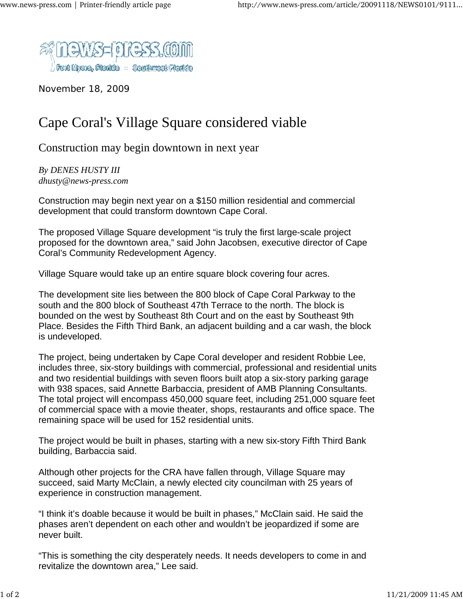

November 18, 2009

## Cape Coral's Village Square considered viable

Construction may begin downtown in next year

*By DENES HUSTY III dhusty@news-press.com*

Construction may begin next year on a \$150 million residential and commercial development that could transform downtown Cape Coral.

The proposed Village Square development "is truly the first large-scale project proposed for the downtown area," said John Jacobsen, executive director of Cape Coral's Community Redevelopment Agency.

Village Square would take up an entire square block covering four acres.

The development site lies between the 800 block of Cape Coral Parkway to the south and the 800 block of Southeast 47th Terrace to the north. The block is bounded on the west by Southeast 8th Court and on the east by Southeast 9th Place. Besides the Fifth Third Bank, an adjacent building and a car wash, the block is undeveloped.

The project, being undertaken by Cape Coral developer and resident Robbie Lee, includes three, six-story buildings with commercial, professional and residential units and two residential buildings with seven floors built atop a six-story parking garage with 938 spaces, said Annette Barbaccia, president of AMB Planning Consultants. The total project will encompass 450,000 square feet, including 251,000 square feet of commercial space with a movie theater, shops, restaurants and office space. The remaining space will be used for 152 residential units.

The project would be built in phases, starting with a new six-story Fifth Third Bank building, Barbaccia said.

Although other projects for the CRA have fallen through, Village Square may succeed, said Marty McClain, a newly elected city councilman with 25 years of experience in construction management.

"I think it's doable because it would be built in phases," McClain said. He said the phases aren't dependent on each other and wouldn't be jeopardized if some are never built.

"This is something the city desperately needs. It needs developers to come in and revitalize the downtown area," Lee said.